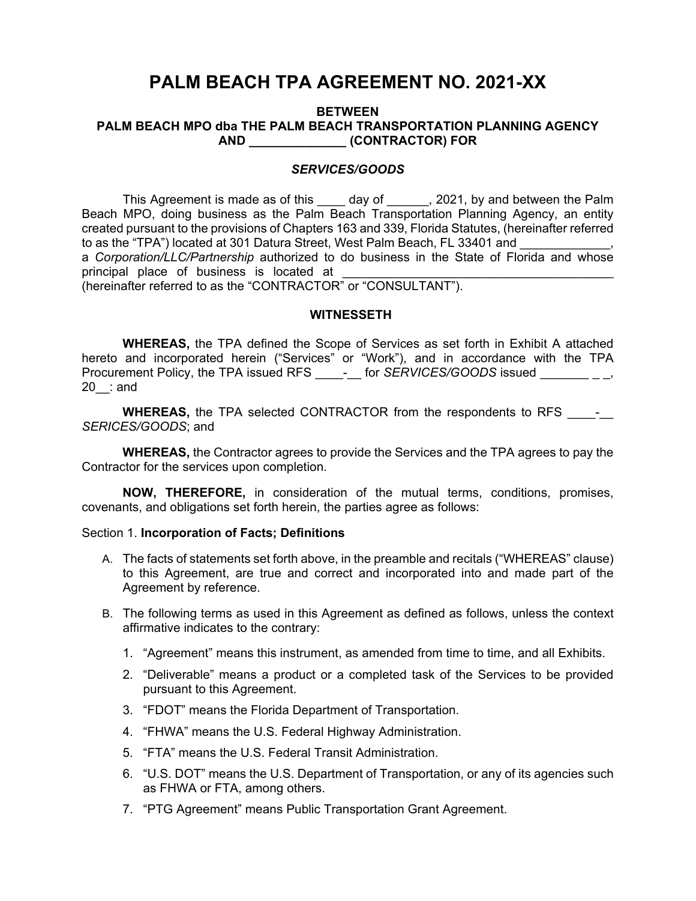# **PALM BEACH TPA AGREEMENT NO. 2021-XX**

#### **BETWEEN PALM BEACH MPO dba THE PALM BEACH TRANSPORTATION PLANNING AGENCY AND \_\_\_\_\_\_\_\_\_\_\_\_\_\_ (CONTRACTOR) FOR**

## *SERVICES/GOODS*

This Agreement is made as of this day of , 2021, by and between the Palm Beach MPO, doing business as the Palm Beach Transportation Planning Agency, an entity created pursuant to the provisions of Chapters 163 and 339, Florida Statutes, (hereinafter referred to as the "TPA") located at 301 Datura Street, West Palm Beach, FL 33401 and a *Corporation/LLC/Partnership* authorized to do business in the State of Florida and whose principal place of business is located at (hereinafter referred to as the "CONTRACTOR" or "CONSULTANT").

**WITNESSETH**

**WHEREAS,** the TPA defined the Scope of Services as set forth in Exhibit A attached hereto and incorporated herein ("Services" or "Work"), and in accordance with the TPA Procurement Policy, the TPA issued RFS \_\_\_\_\_-\_ for *SERVICES/GOODS* issued \_\_\_\_\_\_\_\_\_\_\_, 20\_\_: and

**WHEREAS,** the TPA selected CONTRACTOR from the respondents to RFS  $\qquad -$ *SERICES/GOODS*; and

**WHEREAS,** the Contractor agrees to provide the Services and the TPA agrees to pay the Contractor for the services upon completion.

**NOW, THEREFORE,** in consideration of the mutual terms, conditions, promises, covenants, and obligations set forth herein, the parties agree as follows:

#### Section 1. **Incorporation of Facts; Definitions**

- A. The facts of statements set forth above, in the preamble and recitals ("WHEREAS" clause) to this Agreement, are true and correct and incorporated into and made part of the Agreement by reference.
- B. The following terms as used in this Agreement as defined as follows, unless the context affirmative indicates to the contrary:
	- 1. "Agreement" means this instrument, as amended from time to time, and all Exhibits.
	- 2. "Deliverable" means a product or a completed task of the Services to be provided pursuant to this Agreement.
	- 3. "FDOT" means the Florida Department of Transportation.
	- 4. "FHWA" means the U.S. Federal Highway Administration.
	- 5. "FTA" means the U.S. Federal Transit Administration.
	- 6. "U.S. DOT" means the U.S. Department of Transportation, or any of its agencies such as FHWA or FTA, among others.
	- 7. "PTG Agreement" means Public Transportation Grant Agreement.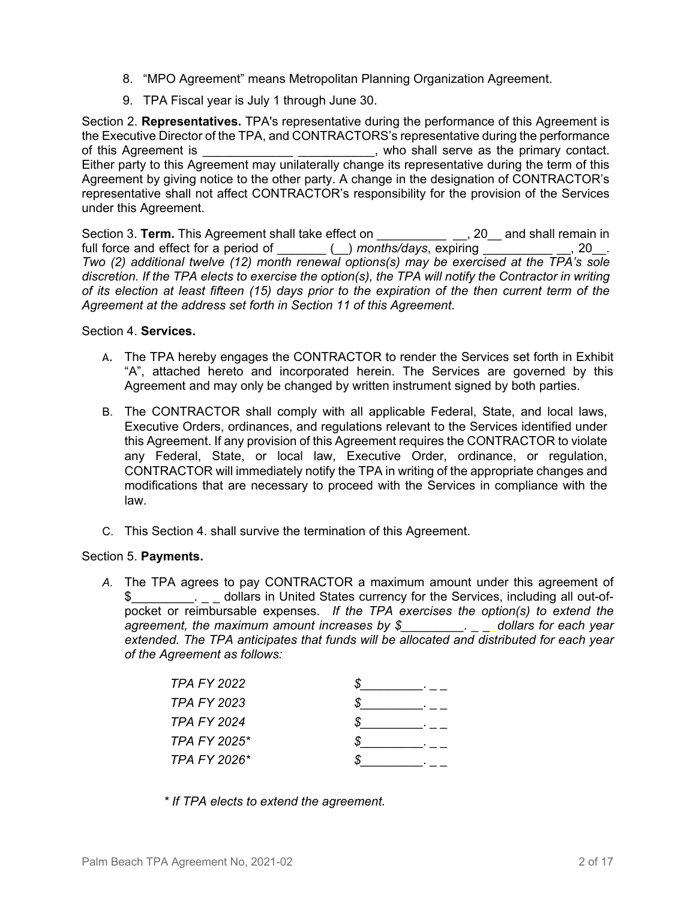- 8. "MPO Agreement" means Metropolitan Planning Organization Agreement.
- 9. TPA Fiscal year is July 1 through June 30.

Section 2. **Representatives.** TPA's representative during the performance of this Agreement is the Executive Director of the TPA, and CONTRACTORS's representative during the performance of this Agreement is \_\_\_\_\_\_\_\_\_\_\_\_\_\_\_\_\_\_\_\_\_\_\_\_\_\_\_, who shall serve as the primary contact. Either party to this Agreement may unilaterally change its representative during the term of this Agreement by giving notice to the other party. A change in the designation of CONTRACTOR's representative shall not affect CONTRACTOR's responsibility for the provision of the Services under this Agreement.

Section 3. **Term.** This Agreement shall take effect on \_\_\_\_\_\_\_\_\_\_\_\_\_\_\_, 20\_\_ and shall remain in full force and effect for a period of  $\Box$  ( ) months/days, expiring  $\Box$  , 20. *Two (2) additional twelve (12) month renewal options(s) may be exercised at the TPA's sole discretion. If the TPA elects to exercise the option(s), the TPA will notify the Contractor in writing of its election at least fifteen (15) days prior to the expiration of the then current term of the Agreement at the address set forth in Section 11 of this Agreement*.

## Section 4. **Services.**

- A. The TPA hereby engages the CONTRACTOR to render the Services set forth in Exhibit "A", attached hereto and incorporated herein. The Services are governed by this Agreement and may only be changed by written instrument signed by both parties.
- B. The CONTRACTOR shall comply with all applicable Federal, State, and local laws, Executive Orders, ordinances, and regulations relevant to the Services identified under this Agreement. If any provision of this Agreement requires the CONTRACTOR to violate any Federal, State, or local law, Executive Order, ordinance, or regulation, CONTRACTOR will immediately notify the TPA in writing of the appropriate changes and modifications that are necessary to proceed with the Services in compliance with the law.
- C. This Section 4. shall survive the termination of this Agreement.

### Section 5. **Payments.**

*A.* The TPA agrees to pay CONTRACTOR a maximum amount under this agreement of \$ 6. [2015] dollars in United States currency for the Services, including all out-ofpocket or reimbursable expenses. *If the TPA exercises the option(s) to extend the agreement, the maximum amount increases by \$\_\_\_\_\_\_\_\_\_. \_ \_\_dollars for each year extended. The TPA anticipates that funds will be allocated and distributed for each year of the Agreement as follows:* 

| TPA FY 2022        |  |
|--------------------|--|
| TPA FY 2023        |  |
| <b>TPA FY 2024</b> |  |
| TPA FY 2025*       |  |
| TPA FY 2026*       |  |
|                    |  |

*\* If TPA elects to extend the agreement.*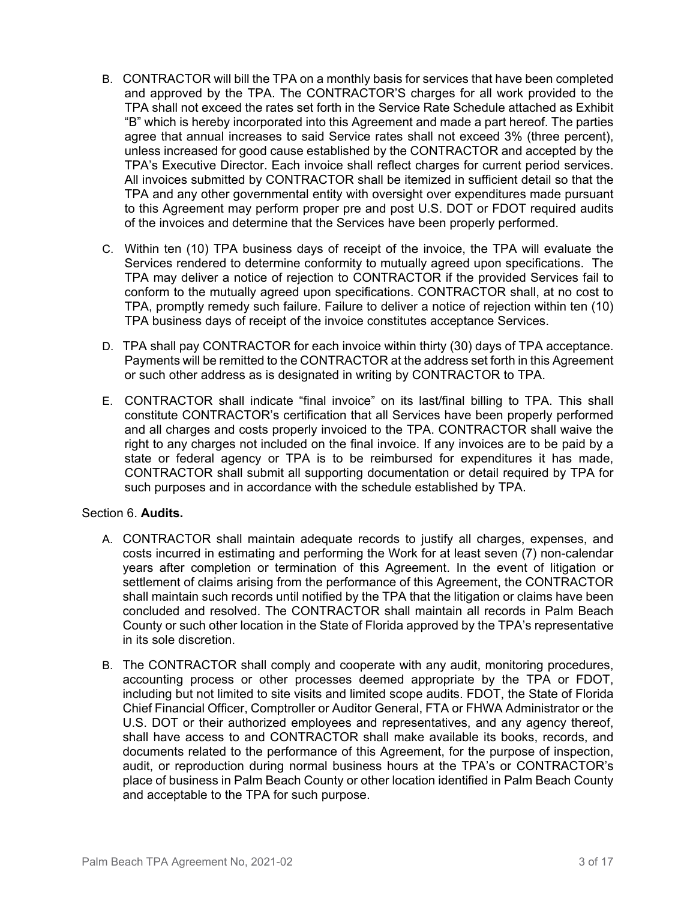- B. CONTRACTOR will bill the TPA on a monthly basis for services that have been completed and approved by the TPA. The CONTRACTOR'S charges for all work provided to the TPA shall not exceed the rates set forth in the Service Rate Schedule attached as Exhibit "B" which is hereby incorporated into this Agreement and made a part hereof. The parties agree that annual increases to said Service rates shall not exceed 3% (three percent), unless increased for good cause established by the CONTRACTOR and accepted by the TPA's Executive Director. Each invoice shall reflect charges for current period services. All invoices submitted by CONTRACTOR shall be itemized in sufficient detail so that the TPA and any other governmental entity with oversight over expenditures made pursuant to this Agreement may perform proper pre and post U.S. DOT or FDOT required audits of the invoices and determine that the Services have been properly performed.
- C. Within ten (10) TPA business days of receipt of the invoice, the TPA will evaluate the Services rendered to determine conformity to mutually agreed upon specifications. The TPA may deliver a notice of rejection to CONTRACTOR if the provided Services fail to conform to the mutually agreed upon specifications. CONTRACTOR shall, at no cost to TPA, promptly remedy such failure. Failure to deliver a notice of rejection within ten (10) TPA business days of receipt of the invoice constitutes acceptance Services.
- D. TPA shall pay CONTRACTOR for each invoice within thirty (30) days of TPA acceptance. Payments will be remitted to the CONTRACTOR at the address set forth in this Agreement or such other address as is designated in writing by CONTRACTOR to TPA.
- E. CONTRACTOR shall indicate "final invoice" on its last/final billing to TPA. This shall constitute CONTRACTOR's certification that all Services have been properly performed and all charges and costs properly invoiced to the TPA. CONTRACTOR shall waive the right to any charges not included on the final invoice. If any invoices are to be paid by a state or federal agency or TPA is to be reimbursed for expenditures it has made, CONTRACTOR shall submit all supporting documentation or detail required by TPA for such purposes and in accordance with the schedule established by TPA.

## Section 6. **Audits.**

- A. CONTRACTOR shall maintain adequate records to justify all charges, expenses, and costs incurred in estimating and performing the Work for at least seven (7) non-calendar years after completion or termination of this Agreement. In the event of litigation or settlement of claims arising from the performance of this Agreement, the CONTRACTOR shall maintain such records until notified by the TPA that the litigation or claims have been concluded and resolved. The CONTRACTOR shall maintain all records in Palm Beach County or such other location in the State of Florida approved by the TPA's representative in its sole discretion.
- B. The CONTRACTOR shall comply and cooperate with any audit, monitoring procedures, accounting process or other processes deemed appropriate by the TPA or FDOT, including but not limited to site visits and limited scope audits. FDOT, the State of Florida Chief Financial Officer, Comptroller or Auditor General, FTA or FHWA Administrator or the U.S. DOT or their authorized employees and representatives, and any agency thereof, shall have access to and CONTRACTOR shall make available its books, records, and documents related to the performance of this Agreement, for the purpose of inspection, audit, or reproduction during normal business hours at the TPA's or CONTRACTOR's place of business in Palm Beach County or other location identified in Palm Beach County and acceptable to the TPA for such purpose.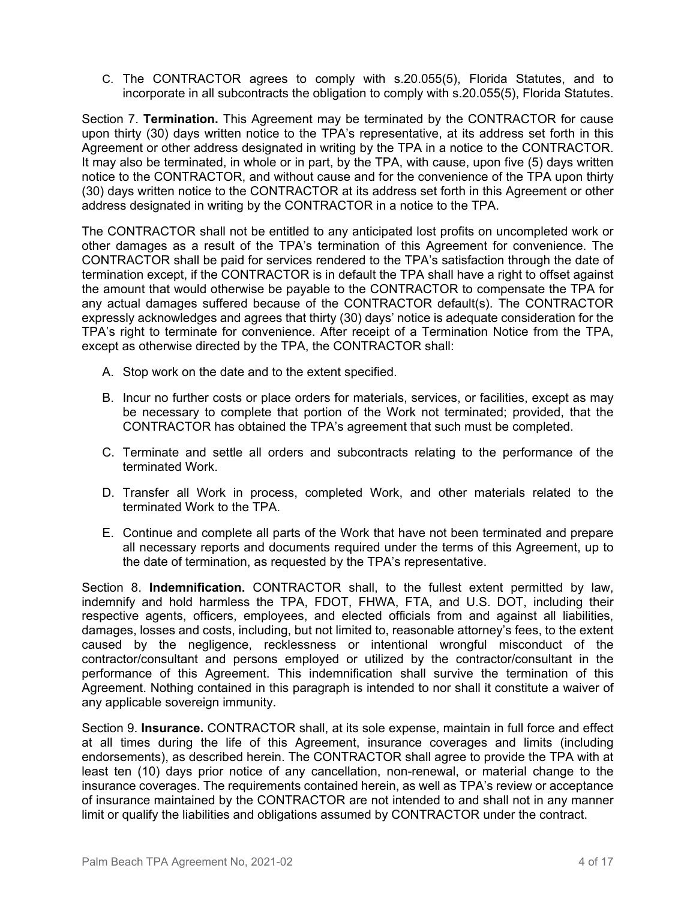C. The CONTRACTOR agrees to comply with s.20.055(5), Florida Statutes, and to incorporate in all subcontracts the obligation to comply with s.20.055(5), Florida Statutes.

Section 7. **Termination.** This Agreement may be terminated by the CONTRACTOR for cause upon thirty (30) days written notice to the TPA's representative, at its address set forth in this Agreement or other address designated in writing by the TPA in a notice to the CONTRACTOR. It may also be terminated, in whole or in part, by the TPA, with cause, upon five (5) days written notice to the CONTRACTOR, and without cause and for the convenience of the TPA upon thirty (30) days written notice to the CONTRACTOR at its address set forth in this Agreement or other address designated in writing by the CONTRACTOR in a notice to the TPA.

The CONTRACTOR shall not be entitled to any anticipated lost profits on uncompleted work or other damages as a result of the TPA's termination of this Agreement for convenience. The CONTRACTOR shall be paid for services rendered to the TPA's satisfaction through the date of termination except, if the CONTRACTOR is in default the TPA shall have a right to offset against the amount that would otherwise be payable to the CONTRACTOR to compensate the TPA for any actual damages suffered because of the CONTRACTOR default(s). The CONTRACTOR expressly acknowledges and agrees that thirty (30) days' notice is adequate consideration for the TPA's right to terminate for convenience. After receipt of a Termination Notice from the TPA, except as otherwise directed by the TPA, the CONTRACTOR shall:

- A. Stop work on the date and to the extent specified.
- B. Incur no further costs or place orders for materials, services, or facilities, except as may be necessary to complete that portion of the Work not terminated; provided, that the CONTRACTOR has obtained the TPA's agreement that such must be completed.
- C. Terminate and settle all orders and subcontracts relating to the performance of the terminated Work.
- D. Transfer all Work in process, completed Work, and other materials related to the terminated Work to the TPA.
- E. Continue and complete all parts of the Work that have not been terminated and prepare all necessary reports and documents required under the terms of this Agreement, up to the date of termination, as requested by the TPA's representative.

Section 8. **Indemnification.** CONTRACTOR shall, to the fullest extent permitted by law, indemnify and hold harmless the TPA, FDOT, FHWA, FTA, and U.S. DOT, including their respective agents, officers, employees, and elected officials from and against all liabilities, damages, losses and costs, including, but not limited to, reasonable attorney's fees, to the extent caused by the negligence, recklessness or intentional wrongful misconduct of the contractor/consultant and persons employed or utilized by the contractor/consultant in the performance of this Agreement. This indemnification shall survive the termination of this Agreement. Nothing contained in this paragraph is intended to nor shall it constitute a waiver of any applicable sovereign immunity.

Section 9. **Insurance.** CONTRACTOR shall, at its sole expense, maintain in full force and effect at all times during the life of this Agreement, insurance coverages and limits (including endorsements), as described herein. The CONTRACTOR shall agree to provide the TPA with at least ten (10) days prior notice of any cancellation, non-renewal, or material change to the insurance coverages. The requirements contained herein, as well as TPA's review or acceptance of insurance maintained by the CONTRACTOR are not intended to and shall not in any manner limit or qualify the liabilities and obligations assumed by CONTRACTOR under the contract.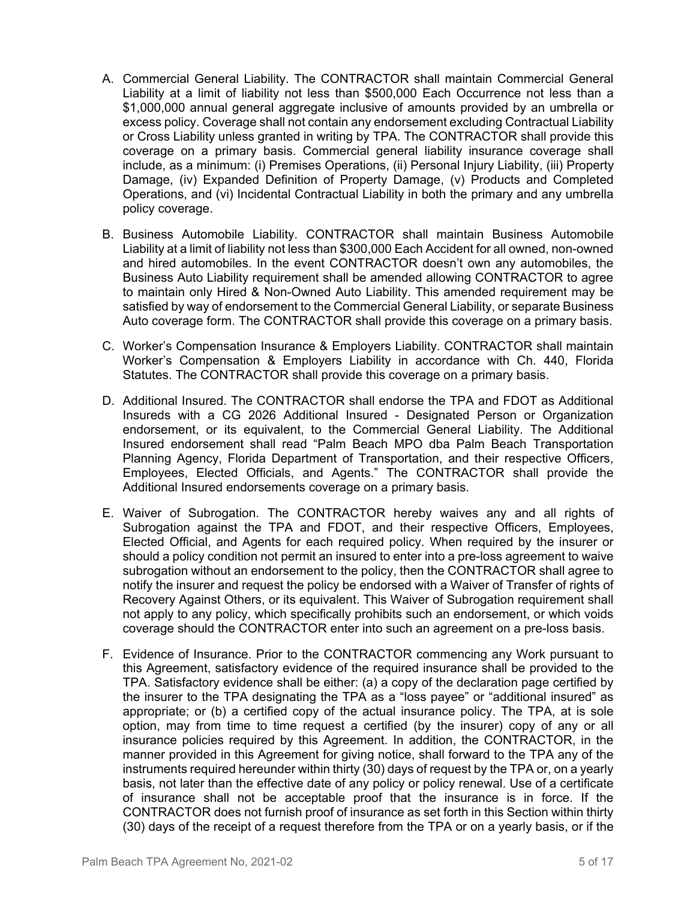- A. Commercial General Liability. The CONTRACTOR shall maintain Commercial General Liability at a limit of liability not less than \$500,000 Each Occurrence not less than a \$1,000,000 annual general aggregate inclusive of amounts provided by an umbrella or excess policy. Coverage shall not contain any endorsement excluding Contractual Liability or Cross Liability unless granted in writing by TPA. The CONTRACTOR shall provide this coverage on a primary basis. Commercial general liability insurance coverage shall include, as a minimum: (i) Premises Operations, (ii) Personal Injury Liability, (iii) Property Damage, (iv) Expanded Definition of Property Damage, (v) Products and Completed Operations, and (vi) Incidental Contractual Liability in both the primary and any umbrella policy coverage.
- B. Business Automobile Liability. CONTRACTOR shall maintain Business Automobile Liability at a limit of liability not less than \$300,000 Each Accident for all owned, non-owned and hired automobiles. In the event CONTRACTOR doesn't own any automobiles, the Business Auto Liability requirement shall be amended allowing CONTRACTOR to agree to maintain only Hired & Non-Owned Auto Liability. This amended requirement may be satisfied by way of endorsement to the Commercial General Liability, or separate Business Auto coverage form. The CONTRACTOR shall provide this coverage on a primary basis.
- C. Worker's Compensation Insurance & Employers Liability. CONTRACTOR shall maintain Worker's Compensation & Employers Liability in accordance with Ch. 440, Florida Statutes. The CONTRACTOR shall provide this coverage on a primary basis.
- D. Additional Insured. The CONTRACTOR shall endorse the TPA and FDOT as Additional Insureds with a CG 2026 Additional Insured - Designated Person or Organization endorsement, or its equivalent, to the Commercial General Liability. The Additional Insured endorsement shall read "Palm Beach MPO dba Palm Beach Transportation Planning Agency, Florida Department of Transportation, and their respective Officers, Employees, Elected Officials, and Agents." The CONTRACTOR shall provide the Additional Insured endorsements coverage on a primary basis.
- E. Waiver of Subrogation. The CONTRACTOR hereby waives any and all rights of Subrogation against the TPA and FDOT, and their respective Officers, Employees, Elected Official, and Agents for each required policy. When required by the insurer or should a policy condition not permit an insured to enter into a pre-loss agreement to waive subrogation without an endorsement to the policy, then the CONTRACTOR shall agree to notify the insurer and request the policy be endorsed with a Waiver of Transfer of rights of Recovery Against Others, or its equivalent. This Waiver of Subrogation requirement shall not apply to any policy, which specifically prohibits such an endorsement, or which voids coverage should the CONTRACTOR enter into such an agreement on a pre-loss basis.
- F. Evidence of Insurance. Prior to the CONTRACTOR commencing any Work pursuant to this Agreement, satisfactory evidence of the required insurance shall be provided to the TPA. Satisfactory evidence shall be either: (a) a copy of the declaration page certified by the insurer to the TPA designating the TPA as a "loss payee" or "additional insured" as appropriate; or (b) a certified copy of the actual insurance policy. The TPA, at is sole option, may from time to time request a certified (by the insurer) copy of any or all insurance policies required by this Agreement. In addition, the CONTRACTOR, in the manner provided in this Agreement for giving notice, shall forward to the TPA any of the instruments required hereunder within thirty (30) days of request by the TPA or, on a yearly basis, not later than the effective date of any policy or policy renewal. Use of a certificate of insurance shall not be acceptable proof that the insurance is in force. If the CONTRACTOR does not furnish proof of insurance as set forth in this Section within thirty (30) days of the receipt of a request therefore from the TPA or on a yearly basis, or if the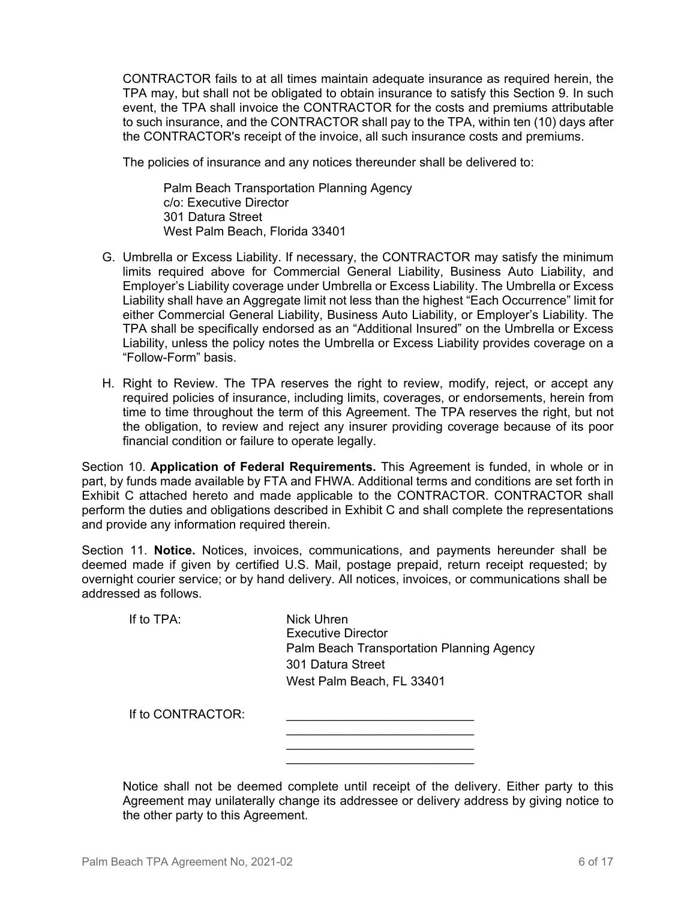CONTRACTOR fails to at all times maintain adequate insurance as required herein, the TPA may, but shall not be obligated to obtain insurance to satisfy this Section 9. In such event, the TPA shall invoice the CONTRACTOR for the costs and premiums attributable to such insurance, and the CONTRACTOR shall pay to the TPA, within ten (10) days after the CONTRACTOR's receipt of the invoice, all such insurance costs and premiums.

The policies of insurance and any notices thereunder shall be delivered to:

Palm Beach Transportation Planning Agency c/o: Executive Director 301 Datura Street West Palm Beach, Florida 33401

- G. Umbrella or Excess Liability. If necessary, the CONTRACTOR may satisfy the minimum limits required above for Commercial General Liability, Business Auto Liability, and Employer's Liability coverage under Umbrella or Excess Liability. The Umbrella or Excess Liability shall have an Aggregate limit not less than the highest "Each Occurrence" limit for either Commercial General Liability, Business Auto Liability, or Employer's Liability. The TPA shall be specifically endorsed as an "Additional Insured" on the Umbrella or Excess Liability, unless the policy notes the Umbrella or Excess Liability provides coverage on a "Follow-Form" basis.
- H. Right to Review. The TPA reserves the right to review, modify, reject, or accept any required policies of insurance, including limits, coverages, or endorsements, herein from time to time throughout the term of this Agreement. The TPA reserves the right, but not the obligation, to review and reject any insurer providing coverage because of its poor financial condition or failure to operate legally.

Section 10. **Application of Federal Requirements.** This Agreement is funded, in whole or in part, by funds made available by FTA and FHWA. Additional terms and conditions are set forth in Exhibit C attached hereto and made applicable to the CONTRACTOR. CONTRACTOR shall perform the duties and obligations described in Exhibit C and shall complete the representations and provide any information required therein.

Section 11. **Notice.** Notices, invoices, communications, and payments hereunder shall be deemed made if given by certified U.S. Mail, postage prepaid, return receipt requested; by overnight courier service; or by hand delivery. All notices, invoices, or communications shall be addressed as follows.

If to TPA: Nick Uhren Executive Director Palm Beach Transportation Planning Agency 301 Datura Street West Palm Beach, FL 33401

 $\frac{1}{\sqrt{2}}$  , and the set of the set of the set of the set of the set of the set of the set of the set of the set of the set of the set of the set of the set of the set of the set of the set of the set of the set of the

 $\mathcal{L}_\text{max}$  and  $\mathcal{L}_\text{max}$  and  $\mathcal{L}_\text{max}$  and  $\mathcal{L}_\text{max}$  and  $\mathcal{L}_\text{max}$ 

If to CONTRACTOR:

| Notice shall not be deemed complete until receipt of the delivery. Either party to this |
|-----------------------------------------------------------------------------------------|
| Agreement may unilaterally change its addressee or delivery address by giving notice to |
| the other party to this Agreement.                                                      |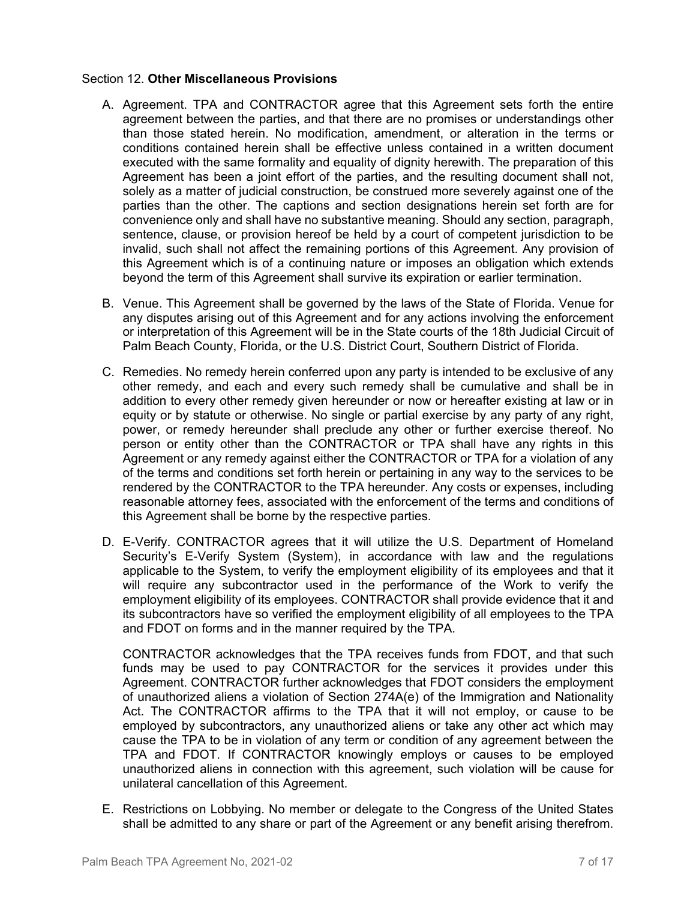### Section 12. **Other Miscellaneous Provisions**

- A. Agreement. TPA and CONTRACTOR agree that this Agreement sets forth the entire agreement between the parties, and that there are no promises or understandings other than those stated herein. No modification, amendment, or alteration in the terms or conditions contained herein shall be effective unless contained in a written document executed with the same formality and equality of dignity herewith. The preparation of this Agreement has been a joint effort of the parties, and the resulting document shall not, solely as a matter of judicial construction, be construed more severely against one of the parties than the other. The captions and section designations herein set forth are for convenience only and shall have no substantive meaning. Should any section, paragraph, sentence, clause, or provision hereof be held by a court of competent jurisdiction to be invalid, such shall not affect the remaining portions of this Agreement. Any provision of this Agreement which is of a continuing nature or imposes an obligation which extends beyond the term of this Agreement shall survive its expiration or earlier termination.
- B. Venue. This Agreement shall be governed by the laws of the State of Florida. Venue for any disputes arising out of this Agreement and for any actions involving the enforcement or interpretation of this Agreement will be in the State courts of the 18th Judicial Circuit of Palm Beach County, Florida, or the U.S. District Court, Southern District of Florida.
- C. Remedies. No remedy herein conferred upon any party is intended to be exclusive of any other remedy, and each and every such remedy shall be cumulative and shall be in addition to every other remedy given hereunder or now or hereafter existing at law or in equity or by statute or otherwise. No single or partial exercise by any party of any right, power, or remedy hereunder shall preclude any other or further exercise thereof. No person or entity other than the CONTRACTOR or TPA shall have any rights in this Agreement or any remedy against either the CONTRACTOR or TPA for a violation of any of the terms and conditions set forth herein or pertaining in any way to the services to be rendered by the CONTRACTOR to the TPA hereunder. Any costs or expenses, including reasonable attorney fees, associated with the enforcement of the terms and conditions of this Agreement shall be borne by the respective parties.
- D. E-Verify. CONTRACTOR agrees that it will utilize the U.S. Department of Homeland Security's E-Verify System (System), in accordance with law and the regulations applicable to the System, to verify the employment eligibility of its employees and that it will require any subcontractor used in the performance of the Work to verify the employment eligibility of its employees. CONTRACTOR shall provide evidence that it and its subcontractors have so verified the employment eligibility of all employees to the TPA and FDOT on forms and in the manner required by the TPA.

CONTRACTOR acknowledges that the TPA receives funds from FDOT, and that such funds may be used to pay CONTRACTOR for the services it provides under this Agreement. CONTRACTOR further acknowledges that FDOT considers the employment of unauthorized aliens a violation of Section 274A(e) of the Immigration and Nationality Act. The CONTRACTOR affirms to the TPA that it will not employ, or cause to be employed by subcontractors, any unauthorized aliens or take any other act which may cause the TPA to be in violation of any term or condition of any agreement between the TPA and FDOT. If CONTRACTOR knowingly employs or causes to be employed unauthorized aliens in connection with this agreement, such violation will be cause for unilateral cancellation of this Agreement.

E. Restrictions on Lobbying. No member or delegate to the Congress of the United States shall be admitted to any share or part of the Agreement or any benefit arising therefrom.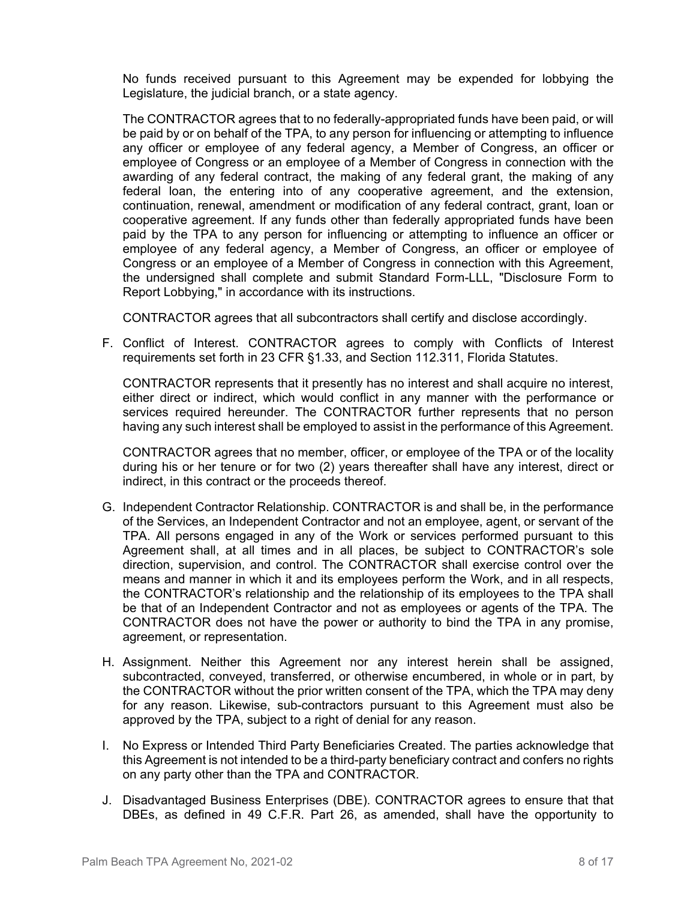No funds received pursuant to this Agreement may be expended for lobbying the Legislature, the judicial branch, or a state agency.

The CONTRACTOR agrees that to no federally-appropriated funds have been paid, or will be paid by or on behalf of the TPA, to any person for influencing or attempting to influence any officer or employee of any federal agency, a Member of Congress, an officer or employee of Congress or an employee of a Member of Congress in connection with the awarding of any federal contract, the making of any federal grant, the making of any federal loan, the entering into of any cooperative agreement, and the extension, continuation, renewal, amendment or modification of any federal contract, grant, loan or cooperative agreement. If any funds other than federally appropriated funds have been paid by the TPA to any person for influencing or attempting to influence an officer or employee of any federal agency, a Member of Congress, an officer or employee of Congress or an employee of a Member of Congress in connection with this Agreement, the undersigned shall complete and submit Standard Form-LLL, "Disclosure Form to Report Lobbying," in accordance with its instructions.

CONTRACTOR agrees that all subcontractors shall certify and disclose accordingly.

F. Conflict of Interest. CONTRACTOR agrees to comply with Conflicts of Interest requirements set forth in 23 CFR §1.33, and Section 112.311, Florida Statutes.

CONTRACTOR represents that it presently has no interest and shall acquire no interest, either direct or indirect, which would conflict in any manner with the performance or services required hereunder. The CONTRACTOR further represents that no person having any such interest shall be employed to assist in the performance of this Agreement.

CONTRACTOR agrees that no member, officer, or employee of the TPA or of the locality during his or her tenure or for two (2) years thereafter shall have any interest, direct or indirect, in this contract or the proceeds thereof.

- G. Independent Contractor Relationship. CONTRACTOR is and shall be, in the performance of the Services, an Independent Contractor and not an employee, agent, or servant of the TPA. All persons engaged in any of the Work or services performed pursuant to this Agreement shall, at all times and in all places, be subject to CONTRACTOR's sole direction, supervision, and control. The CONTRACTOR shall exercise control over the means and manner in which it and its employees perform the Work, and in all respects, the CONTRACTOR's relationship and the relationship of its employees to the TPA shall be that of an Independent Contractor and not as employees or agents of the TPA. The CONTRACTOR does not have the power or authority to bind the TPA in any promise, agreement, or representation.
- H. Assignment. Neither this Agreement nor any interest herein shall be assigned, subcontracted, conveyed, transferred, or otherwise encumbered, in whole or in part, by the CONTRACTOR without the prior written consent of the TPA, which the TPA may deny for any reason. Likewise, sub-contractors pursuant to this Agreement must also be approved by the TPA, subject to a right of denial for any reason.
- I. No Express or Intended Third Party Beneficiaries Created. The parties acknowledge that this Agreement is not intended to be a third-party beneficiary contract and confers no rights on any party other than the TPA and CONTRACTOR.
- J. Disadvantaged Business Enterprises (DBE). CONTRACTOR agrees to ensure that that DBEs, as defined in 49 C.F.R. Part 26, as amended, shall have the opportunity to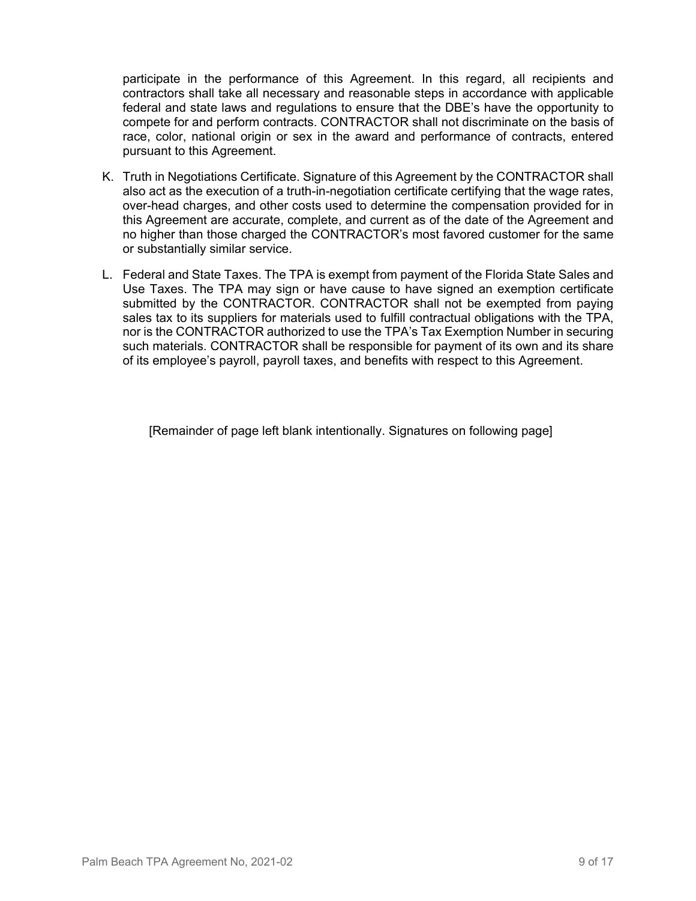participate in the performance of this Agreement. In this regard, all recipients and contractors shall take all necessary and reasonable steps in accordance with applicable federal and state laws and regulations to ensure that the DBE's have the opportunity to compete for and perform contracts. CONTRACTOR shall not discriminate on the basis of race, color, national origin or sex in the award and performance of contracts, entered pursuant to this Agreement.

- K. Truth in Negotiations Certificate. Signature of this Agreement by the CONTRACTOR shall also act as the execution of a truth-in-negotiation certificate certifying that the wage rates, over-head charges, and other costs used to determine the compensation provided for in this Agreement are accurate, complete, and current as of the date of the Agreement and no higher than those charged the CONTRACTOR's most favored customer for the same or substantially similar service.
- L. Federal and State Taxes. The TPA is exempt from payment of the Florida State Sales and Use Taxes. The TPA may sign or have cause to have signed an exemption certificate submitted by the CONTRACTOR. CONTRACTOR shall not be exempted from paying sales tax to its suppliers for materials used to fulfill contractual obligations with the TPA, nor is the CONTRACTOR authorized to use the TPA's Tax Exemption Number in securing such materials. CONTRACTOR shall be responsible for payment of its own and its share of its employee's payroll, payroll taxes, and benefits with respect to this Agreement.

[Remainder of page left blank intentionally. Signatures on following page]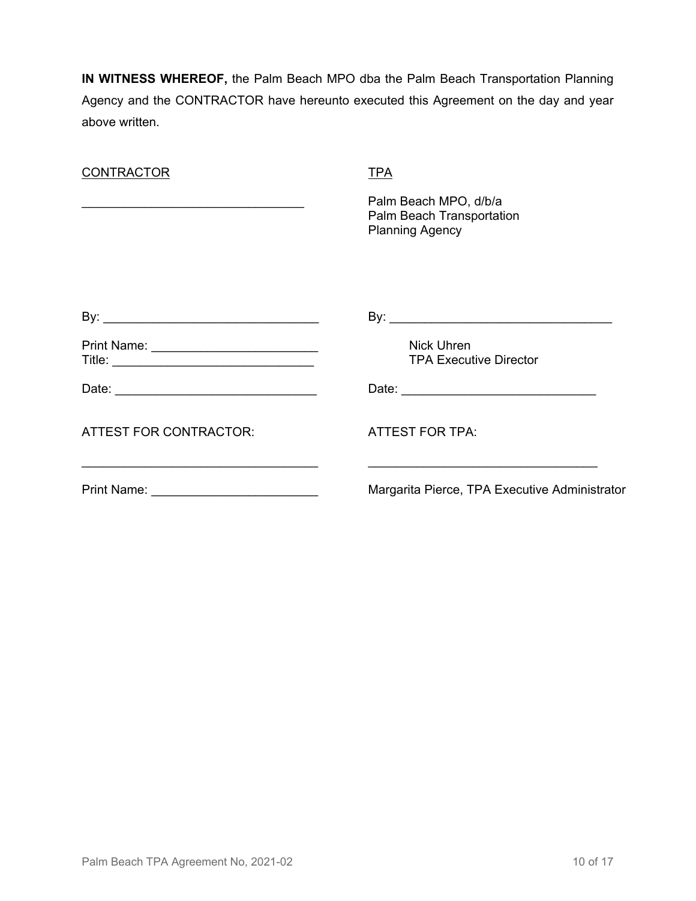**IN WITNESS WHEREOF,** the Palm Beach MPO dba the Palm Beach Transportation Planning Agency and the CONTRACTOR have hereunto executed this Agreement on the day and year above written.

| <b>CONTRACTOR</b>                                                                                                         | TPA                                                                          |
|---------------------------------------------------------------------------------------------------------------------------|------------------------------------------------------------------------------|
|                                                                                                                           | Palm Beach MPO, d/b/a<br>Palm Beach Transportation<br><b>Planning Agency</b> |
|                                                                                                                           |                                                                              |
| Print Name: ____________________________                                                                                  | <b>Nick Uhren</b><br><b>TPA Executive Director</b>                           |
| Date: <u>__________________________________</u>                                                                           |                                                                              |
| <b>ATTEST FOR CONTRACTOR:</b>                                                                                             | <b>ATTEST FOR TPA:</b>                                                       |
| <u> 1989 - Johann Barn, fransk politik amerikansk politik (d. 1989)</u><br>Print Name: <u>___________________________</u> | Margarita Pierce, TPA Executive Administrator                                |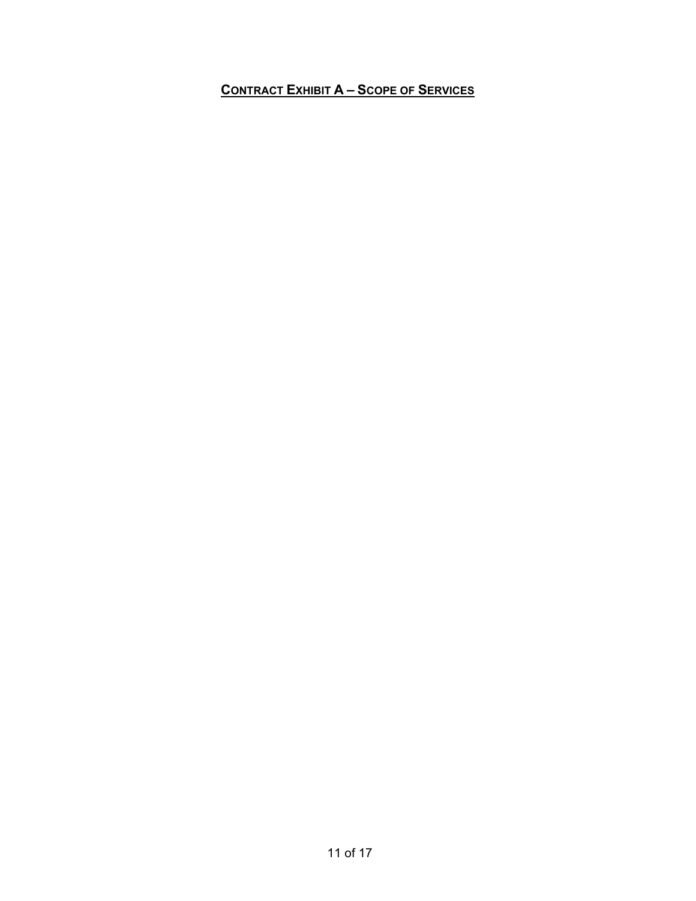## **CONTRACT EXHIBIT A – SCOPE OF SERVICES**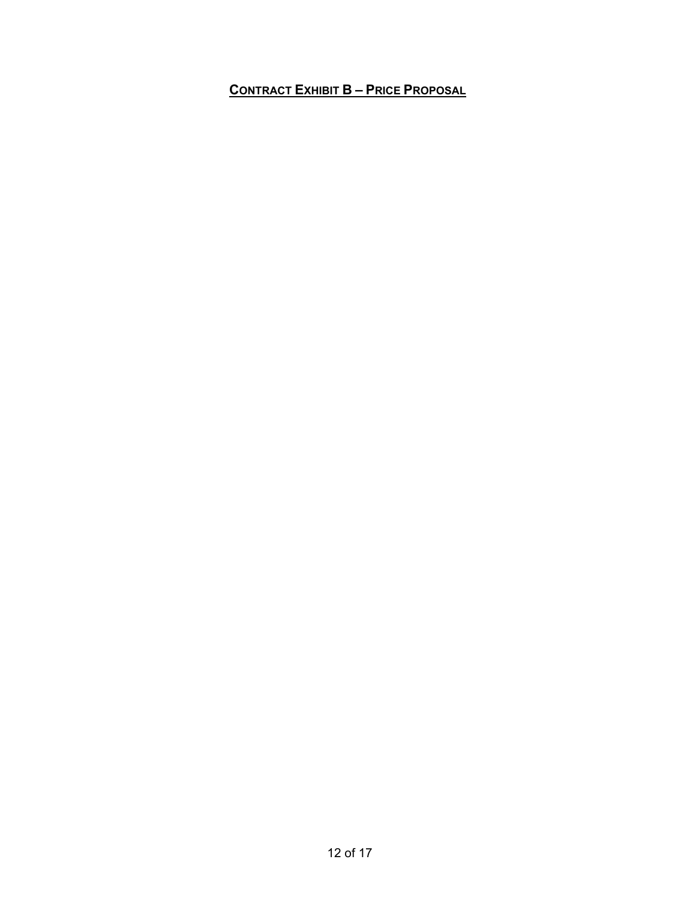## **CONTRACT EXHIBIT B – PRICE PROPOSAL**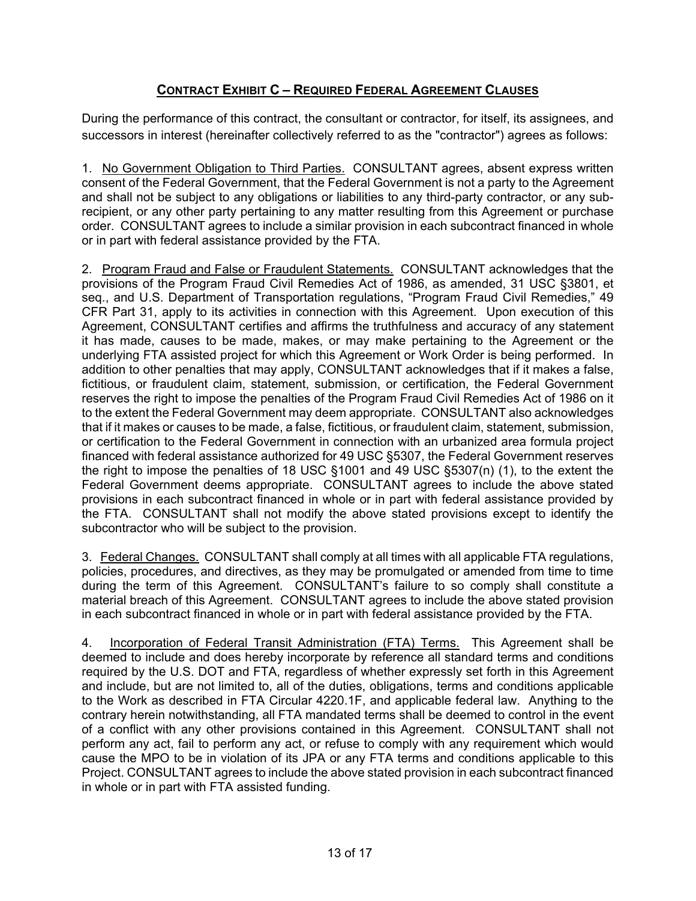## **CONTRACT EXHIBIT C – REQUIRED FEDERAL AGREEMENT CLAUSES**

During the performance of this contract, the consultant or contractor, for itself, its assignees, and successors in interest (hereinafter collectively referred to as the "contractor") agrees as follows:

1. No Government Obligation to Third Parties. CONSULTANT agrees, absent express written consent of the Federal Government, that the Federal Government is not a party to the Agreement and shall not be subject to any obligations or liabilities to any third-party contractor, or any subrecipient, or any other party pertaining to any matter resulting from this Agreement or purchase order. CONSULTANT agrees to include a similar provision in each subcontract financed in whole or in part with federal assistance provided by the FTA.

2. Program Fraud and False or Fraudulent Statements. CONSULTANT acknowledges that the provisions of the Program Fraud Civil Remedies Act of 1986, as amended, 31 USC §3801, et seq., and U.S. Department of Transportation regulations, "Program Fraud Civil Remedies," 49 CFR Part 31, apply to its activities in connection with this Agreement. Upon execution of this Agreement, CONSULTANT certifies and affirms the truthfulness and accuracy of any statement it has made, causes to be made, makes, or may make pertaining to the Agreement or the underlying FTA assisted project for which this Agreement or Work Order is being performed. In addition to other penalties that may apply, CONSULTANT acknowledges that if it makes a false, fictitious, or fraudulent claim, statement, submission, or certification, the Federal Government reserves the right to impose the penalties of the Program Fraud Civil Remedies Act of 1986 on it to the extent the Federal Government may deem appropriate. CONSULTANT also acknowledges that if it makes or causes to be made, a false, fictitious, or fraudulent claim, statement, submission, or certification to the Federal Government in connection with an urbanized area formula project financed with federal assistance authorized for 49 USC §5307, the Federal Government reserves the right to impose the penalties of 18 USC §1001 and 49 USC §5307(n) (1), to the extent the Federal Government deems appropriate. CONSULTANT agrees to include the above stated provisions in each subcontract financed in whole or in part with federal assistance provided by the FTA. CONSULTANT shall not modify the above stated provisions except to identify the subcontractor who will be subject to the provision.

3. Federal Changes. CONSULTANT shall comply at all times with all applicable FTA regulations, policies, procedures, and directives, as they may be promulgated or amended from time to time during the term of this Agreement. CONSULTANT's failure to so comply shall constitute a material breach of this Agreement. CONSULTANT agrees to include the above stated provision in each subcontract financed in whole or in part with federal assistance provided by the FTA.

4. Incorporation of Federal Transit Administration (FTA) Terms. This Agreement shall be deemed to include and does hereby incorporate by reference all standard terms and conditions required by the U.S. DOT and FTA, regardless of whether expressly set forth in this Agreement and include, but are not limited to, all of the duties, obligations, terms and conditions applicable to the Work as described in FTA Circular 4220.1F, and applicable federal law. Anything to the contrary herein notwithstanding, all FTA mandated terms shall be deemed to control in the event of a conflict with any other provisions contained in this Agreement. CONSULTANT shall not perform any act, fail to perform any act, or refuse to comply with any requirement which would cause the MPO to be in violation of its JPA or any FTA terms and conditions applicable to this Project. CONSULTANT agrees to include the above stated provision in each subcontract financed in whole or in part with FTA assisted funding.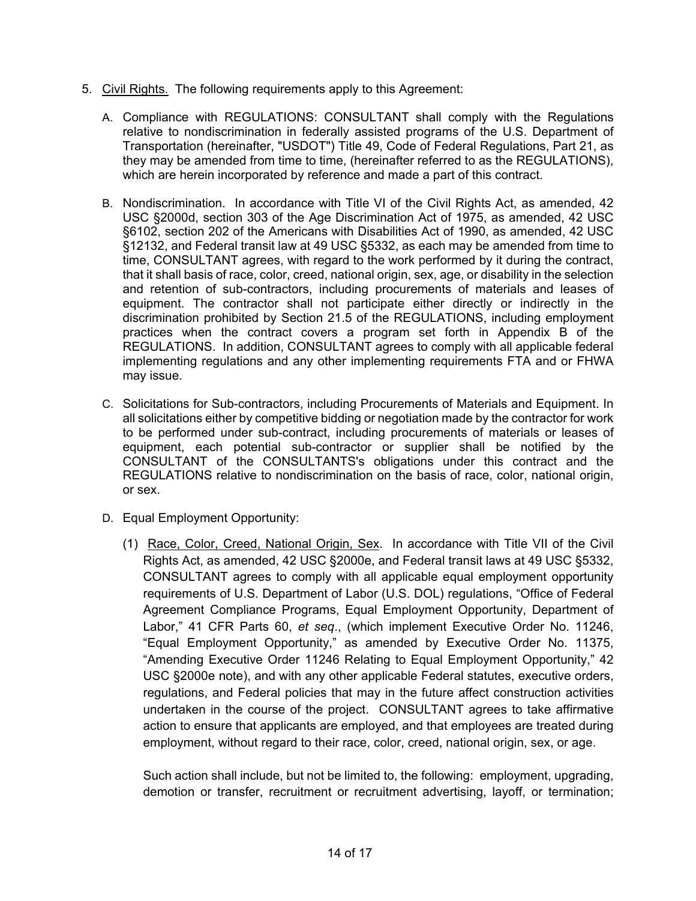- 5. Civil Rights. The following requirements apply to this Agreement:
	- A. Compliance with REGULATIONS: CONSULTANT shall comply with the Regulations relative to nondiscrimination in federally assisted programs of the U.S. Department of Transportation (hereinafter, "USDOT") Title 49, Code of Federal Regulations, Part 21, as they may be amended from time to time, (hereinafter referred to as the REGULATIONS), which are herein incorporated by reference and made a part of this contract.
	- B. Nondiscrimination. In accordance with Title VI of the Civil Rights Act, as amended, 42 USC §2000d, section 303 of the Age Discrimination Act of 1975, as amended, 42 USC §6102, section 202 of the Americans with Disabilities Act of 1990, as amended, 42 USC §12132, and Federal transit law at 49 USC §5332, as each may be amended from time to time, CONSULTANT agrees, with regard to the work performed by it during the contract, that it shall basis of race, color, creed, national origin, sex, age, or disability in the selection and retention of sub-contractors, including procurements of materials and leases of equipment. The contractor shall not participate either directly or indirectly in the discrimination prohibited by Section 21.5 of the REGULATIONS, including employment practices when the contract covers a program set forth in Appendix B of the REGULATIONS. In addition, CONSULTANT agrees to comply with all applicable federal implementing regulations and any other implementing requirements FTA and or FHWA may issue.
	- C. Solicitations for Sub-contractors, including Procurements of Materials and Equipment. In all solicitations either by competitive bidding or negotiation made by the contractor for work to be performed under sub-contract, including procurements of materials or leases of equipment, each potential sub-contractor or supplier shall be notified by the CONSULTANT of the CONSULTANTS's obligations under this contract and the REGULATIONS relative to nondiscrimination on the basis of race, color, national origin, or sex.
	- D. Equal Employment Opportunity:
		- (1) Race, Color, Creed, National Origin, Sex. In accordance with Title VII of the Civil Rights Act, as amended, 42 USC §2000e, and Federal transit laws at 49 USC §5332, CONSULTANT agrees to comply with all applicable equal employment opportunity requirements of U.S. Department of Labor (U.S. DOL) regulations, "Office of Federal Agreement Compliance Programs, Equal Employment Opportunity, Department of Labor," 41 CFR Parts 60, *et seq*., (which implement Executive Order No. 11246, "Equal Employment Opportunity," as amended by Executive Order No. 11375, "Amending Executive Order 11246 Relating to Equal Employment Opportunity," 42 USC §2000e note), and with any other applicable Federal statutes, executive orders, regulations, and Federal policies that may in the future affect construction activities undertaken in the course of the project. CONSULTANT agrees to take affirmative action to ensure that applicants are employed, and that employees are treated during employment, without regard to their race, color, creed, national origin, sex, or age.

Such action shall include, but not be limited to, the following: employment, upgrading, demotion or transfer, recruitment or recruitment advertising, layoff, or termination;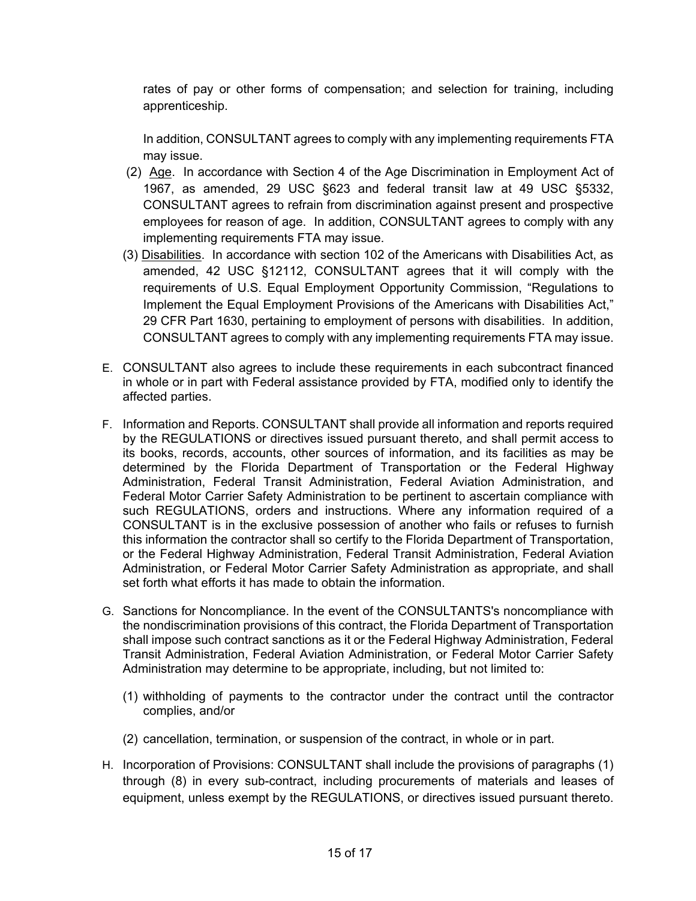rates of pay or other forms of compensation; and selection for training, including apprenticeship.

In addition, CONSULTANT agrees to comply with any implementing requirements FTA may issue.

- (2) Age. In accordance with Section 4 of the Age Discrimination in Employment Act of 1967, as amended, 29 USC §623 and federal transit law at 49 USC §5332, CONSULTANT agrees to refrain from discrimination against present and prospective employees for reason of age. In addition, CONSULTANT agrees to comply with any implementing requirements FTA may issue.
- (3) Disabilities. In accordance with section 102 of the Americans with Disabilities Act, as amended, 42 USC §12112, CONSULTANT agrees that it will comply with the requirements of U.S. Equal Employment Opportunity Commission, "Regulations to Implement the Equal Employment Provisions of the Americans with Disabilities Act," 29 CFR Part 1630, pertaining to employment of persons with disabilities. In addition, CONSULTANT agrees to comply with any implementing requirements FTA may issue.
- E. CONSULTANT also agrees to include these requirements in each subcontract financed in whole or in part with Federal assistance provided by FTA, modified only to identify the affected parties.
- F. Information and Reports. CONSULTANT shall provide all information and reports required by the REGULATIONS or directives issued pursuant thereto, and shall permit access to its books, records, accounts, other sources of information, and its facilities as may be determined by the Florida Department of Transportation or the Federal Highway Administration, Federal Transit Administration, Federal Aviation Administration, and Federal Motor Carrier Safety Administration to be pertinent to ascertain compliance with such REGULATIONS, orders and instructions. Where any information required of a CONSULTANT is in the exclusive possession of another who fails or refuses to furnish this information the contractor shall so certify to the Florida Department of Transportation, or the Federal Highway Administration, Federal Transit Administration, Federal Aviation Administration, or Federal Motor Carrier Safety Administration as appropriate, and shall set forth what efforts it has made to obtain the information.
- G. Sanctions for Noncompliance. In the event of the CONSULTANTS's noncompliance with the nondiscrimination provisions of this contract, the Florida Department of Transportation shall impose such contract sanctions as it or the Federal Highway Administration, Federal Transit Administration, Federal Aviation Administration, or Federal Motor Carrier Safety Administration may determine to be appropriate, including, but not limited to:
	- (1) withholding of payments to the contractor under the contract until the contractor complies, and/or
	- (2) cancellation, termination, or suspension of the contract, in whole or in part.
- H. Incorporation of Provisions: CONSULTANT shall include the provisions of paragraphs (1) through (8) in every sub-contract, including procurements of materials and leases of equipment, unless exempt by the REGULATIONS, or directives issued pursuant thereto.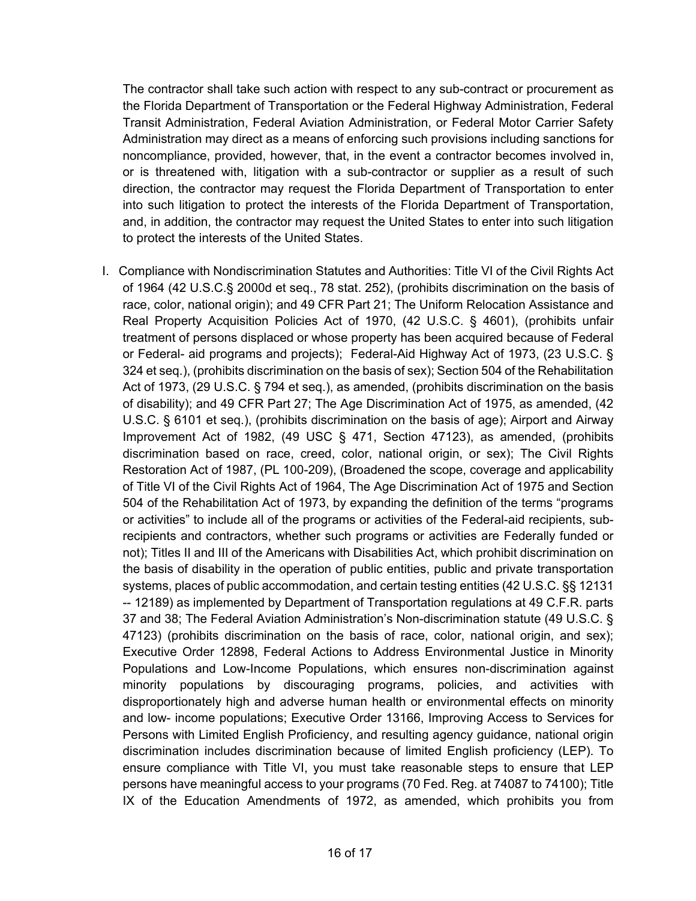The contractor shall take such action with respect to any sub-contract or procurement as the Florida Department of Transportation or the Federal Highway Administration, Federal Transit Administration, Federal Aviation Administration, or Federal Motor Carrier Safety Administration may direct as a means of enforcing such provisions including sanctions for noncompliance, provided, however, that, in the event a contractor becomes involved in, or is threatened with, litigation with a sub-contractor or supplier as a result of such direction, the contractor may request the Florida Department of Transportation to enter into such litigation to protect the interests of the Florida Department of Transportation, and, in addition, the contractor may request the United States to enter into such litigation to protect the interests of the United States.

I. Compliance with Nondiscrimination Statutes and Authorities: Title VI of the Civil Rights Act of 1964 (42 U.S.C.§ 2000d et seq., 78 stat. 252), (prohibits discrimination on the basis of race, color, national origin); and 49 CFR Part 21; The Uniform Relocation Assistance and Real Property Acquisition Policies Act of 1970, (42 U.S.C. § 4601), (prohibits unfair treatment of persons displaced or whose property has been acquired because of Federal or Federal- aid programs and projects); Federal-Aid Highway Act of 1973, (23 U.S.C. § 324 et seq.), (prohibits discrimination on the basis of sex); Section 504 of the Rehabilitation Act of 1973, (29 U.S.C. § 794 et seq.), as amended, (prohibits discrimination on the basis of disability); and 49 CFR Part 27; The Age Discrimination Act of 1975, as amended, (42 U.S.C. § 6101 et seq.), (prohibits discrimination on the basis of age); Airport and Airway Improvement Act of 1982, (49 USC § 471, Section 47123), as amended, (prohibits discrimination based on race, creed, color, national origin, or sex); The Civil Rights Restoration Act of 1987, (PL 100-209), (Broadened the scope, coverage and applicability of Title VI of the Civil Rights Act of 1964, The Age Discrimination Act of 1975 and Section 504 of the Rehabilitation Act of 1973, by expanding the definition of the terms "programs or activities" to include all of the programs or activities of the Federal-aid recipients, subrecipients and contractors, whether such programs or activities are Federally funded or not); Titles II and III of the Americans with Disabilities Act, which prohibit discrimination on the basis of disability in the operation of public entities, public and private transportation systems, places of public accommodation, and certain testing entities (42 U.S.C. §§ 12131 -- 12189) as implemented by Department of Transportation regulations at 49 C.F.R. parts 37 and 38; The Federal Aviation Administration's Non-discrimination statute (49 U.S.C. § 47123) (prohibits discrimination on the basis of race, color, national origin, and sex); Executive Order 12898, Federal Actions to Address Environmental Justice in Minority Populations and Low-Income Populations, which ensures non-discrimination against minority populations by discouraging programs, policies, and activities with disproportionately high and adverse human health or environmental effects on minority and low- income populations; Executive Order 13166, Improving Access to Services for Persons with Limited English Proficiency, and resulting agency guidance, national origin discrimination includes discrimination because of limited English proficiency (LEP). To ensure compliance with Title VI, you must take reasonable steps to ensure that LEP persons have meaningful access to your programs (70 Fed. Reg. at 74087 to 74100); Title IX of the Education Amendments of 1972, as amended, which prohibits you from